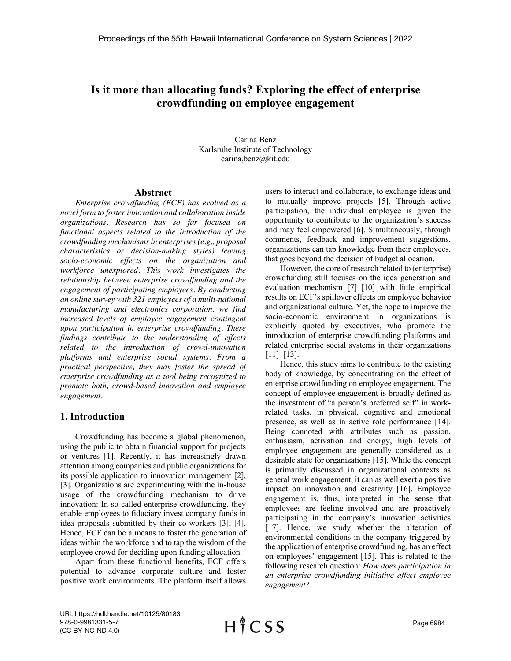# **Is it more than allocating funds? Exploring the effect of enterprise crowdfunding on employee engagement**

Carina Benz Karlsruhe Institute of Technology carina,benz@kit.edu

### **Abstract**

*Enterprise crowdfunding (ECF) has evolved as a novel form to foster innovation and collaboration inside organizations. Research has so far focused on functional aspects related to the introduction of the crowdfunding mechanisms in enterprises (e.g., proposal characteristics or decision-making styles) leaving socio-economic effects on the organization and workforce unexplored. This work investigates the relationship between enterprise crowdfunding and the engagement of participating employees. By conducting an online survey with 321 employees of a multi-national manufacturing and electronics corporation, we find increased levels of employee engagement contingent upon participation in enterprise crowdfunding. These findings contribute to the understanding of effects related to the introduction of crowd-innovation platforms and enterprise social systems. From a practical perspective, they may foster the spread of enterprise crowdfunding as a tool being recognized to promote both, crowd-based innovation and employee engagement.*

## **1. Introduction**

Crowdfunding has become a global phenomenon, using the public to obtain financial support for projects or ventures [1]. Recently, it has increasingly drawn attention among companies and public organizations for its possible application to innovation management [2], [3]. Organizations are experimenting with the in-house usage of the crowdfunding mechanism to drive innovation: In so-called enterprise crowdfunding, they enable employees to fiduciary invest company funds in idea proposals submitted by their co-workers [3], [4]. Hence, ECF can be a means to foster the generation of ideas within the workforce and to tap the wisdom of the employee crowd for deciding upon funding allocation.

Apart from these functional benefits, ECF offers potential to advance corporate culture and foster positive work environments. The platform itself allows

users to interact and collaborate, to exchange ideas and to mutually improve projects [5]. Through active participation, the individual employee is given the opportunity to contribute to the organization's success and may feel empowered [6]. Simultaneously, through comments, feedback and improvement suggestions, organizations can tap knowledge from their employees, that goes beyond the decision of budget allocation.

However, the core of research related to (enterprise) crowdfunding still focuses on the idea generation and evaluation mechanism [7]–[10] with little empirical results on ECF's spillover effects on employee behavior and organizational culture. Yet, the hope to improve the socio-economic environment in organizations is explicitly quoted by executives, who promote the introduction of enterprise crowdfunding platforms and related enterprise social systems in their organizations  $[11]$ – $[13]$ .

Hence, this study aims to contribute to the existing body of knowledge, by concentrating on the effect of enterprise crowdfunding on employee engagement. The concept of employee engagement is broadly defined as the investment of "a person's preferred self" in workrelated tasks, in physical, cognitive and emotional presence, as well as in active role performance [14]. Being connoted with attributes such as passion, enthusiasm, activation and energy, high levels of employee engagement are generally considered as a desirable state for organizations [15]. While the concept is primarily discussed in organizational contexts as general work engagement, it can as well exert a positive impact on innovation and creativity [16]. Employee engagement is, thus, interpreted in the sense that employees are feeling involved and are proactively participating in the company's innovation activities [17]. Hence, we study whether the alteration of environmental conditions in the company triggered by the application of enterprise crowdfunding, has an effect on employees' engagement [15]. This is related to the following research question: *How does participation in an enterprise crowdfunding initiative affect employee engagement?*

URI: https://hdl.handle.net/10125/80183 978-0-9981331-5-7 (CC BY-NC-ND 4.0)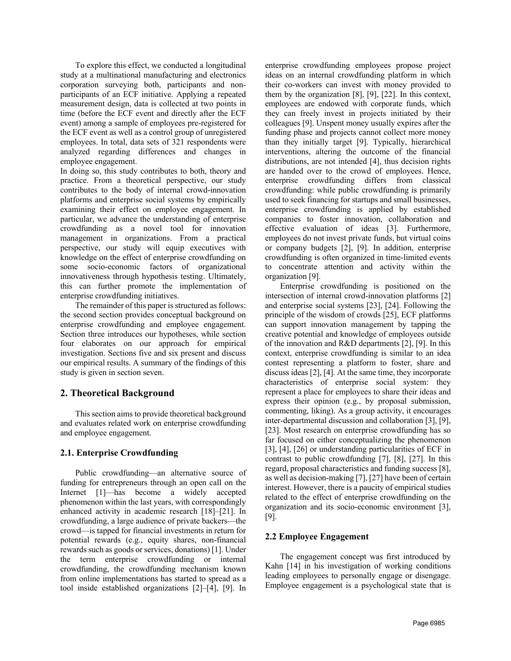To explore this effect, we conducted a longitudinal study at a multinational manufacturing and electronics corporation surveying both, participants and nonparticipants of an ECF initiative. Applying a repeated measurement design, data is collected at two points in time (before the ECF event and directly after the ECF event) among a sample of employees pre-registered for the ECF event as well as a control group of unregistered employees. In total, data sets of 321 respondents were analyzed regarding differences and changes in employee engagement.

In doing so, this study contributes to both, theory and practice. From a theoretical perspective, our study contributes to the body of internal crowd-innovation platforms and enterprise social systems by empirically examining their effect on employee engagement. In particular, we advance the understanding of enterprise crowdfunding as a novel tool for innovation management in organizations. From a practical perspective, our study will equip executives with knowledge on the effect of enterprise crowdfunding on some socio-economic factors of organizational innovativeness through hypothesis testing. Ultimately, this can further promote the implementation of enterprise crowdfunding initiatives.

The remainder of this paper is structured as follows: the second section provides conceptual background on enterprise crowdfunding and employee engagement. Section three introduces our hypotheses, while section four elaborates on our approach for empirical investigation. Sections five and six present and discuss our empirical results. A summary of the findings of this study is given in section seven.

## **2. Theoretical Background**

This section aims to provide theoretical background and evaluates related work on enterprise crowdfunding and employee engagement.

## **2.1. Enterprise Crowdfunding**

Public crowdfunding—an alternative source of funding for entrepreneurs through an open call on the Internet [1]—has become a widely accepted phenomenon within the last years, with correspondingly enhanced activity in academic research [18]–[21]. In crowdfunding, a large audience of private backers—the crowd—is tapped for financial investments in return for potential rewards (e.g., equity shares, non-financial rewards such as goods or services, donations) [1]. Under the term enterprise crowdfunding or internal crowdfunding, the crowdfunding mechanism known from online implementations has started to spread as a tool inside established organizations [2]–[4], [9]. In

enterprise crowdfunding employees propose project ideas on an internal crowdfunding platform in which their co-workers can invest with money provided to them by the organization [8], [9], [22]. In this context, employees are endowed with corporate funds, which they can freely invest in projects initiated by their colleagues [9]. Unspent money usually expires after the funding phase and projects cannot collect more money than they initially target [9]. Typically, hierarchical interventions, altering the outcome of the financial distributions, are not intended [4], thus decision rights are handed over to the crowd of employees. Hence, enterprise crowdfunding differs from classical crowdfunding: while public crowdfunding is primarily used to seek financing for startups and small businesses, enterprise crowdfunding is applied by established companies to foster innovation, collaboration and effective evaluation of ideas [3]. Furthermore, employees do not invest private funds, but virtual coins or company budgets [2], [9]. In addition, enterprise crowdfunding is often organized in time-limited events to concentrate attention and activity within the organization [9].

Enterprise crowdfunding is positioned on the intersection of internal crowd-innovation platforms [2] and enterprise social systems [23], [24]. Following the principle of the wisdom of crowds [25], ECF platforms can support innovation management by tapping the creative potential and knowledge of employees outside of the innovation and R&D departments [2], [9]. In this context, enterprise crowdfunding is similar to an idea contest representing a platform to foster, share and discuss ideas [2], [4]. At the same time, they incorporate characteristics of enterprise social system: they represent a place for employees to share their ideas and express their opinion (e.g., by proposal submission, commenting, liking). As a group activity, it encourages inter-departmental discussion and collaboration [3], [9], [23]. Most research on enterprise crowdfunding has so far focused on either conceptualizing the phenomenon [3], [4], [26] or understanding particularities of ECF in contrast to public crowdfunding [7], [8], [27]. In this regard, proposal characteristics and funding success [8], as well as decision-making [7], [27] have been of certain interest. However, there is a paucity of empirical studies related to the effect of enterprise crowdfunding on the organization and its socio-economic environment [3], [9].

## **2.2 Employee Engagement**

The engagement concept was first introduced by Kahn [14] in his investigation of working conditions leading employees to personally engage or disengage. Employee engagement is a psychological state that is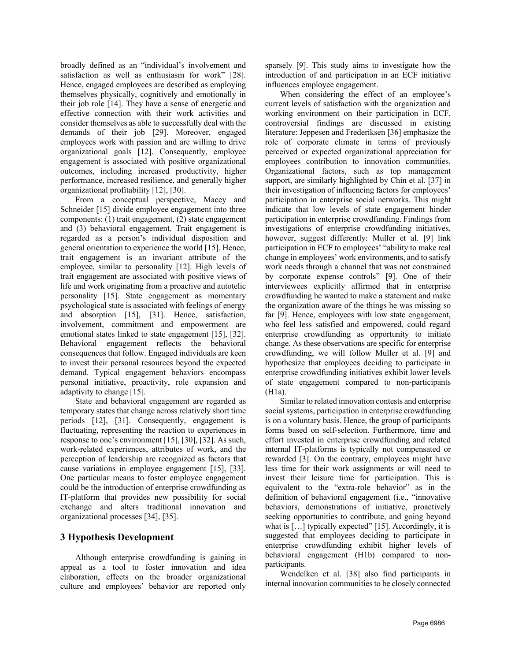broadly defined as an "individual's involvement and satisfaction as well as enthusiasm for work" [28]. Hence, engaged employees are described as employing themselves physically, cognitively and emotionally in their job role [14]. They have a sense of energetic and effective connection with their work activities and consider themselves as able to successfully deal with the demands of their job [29]. Moreover, engaged employees work with passion and are willing to drive organizational goals [12]. Consequently, employee engagement is associated with positive organizational outcomes, including increased productivity, higher performance, increased resilience, and generally higher organizational profitability [12], [30].

From a conceptual perspective, Macey and Schneider [15] divide employee engagement into three components: (1) trait engagement, (2) state engagement and (3) behavioral engagement. Trait engagement is regarded as a person's individual disposition and general orientation to experience the world [15]. Hence, trait engagement is an invariant attribute of the employee, similar to personality [12]. High levels of trait engagement are associated with positive views of life and work originating from a proactive and autotelic personality [15]. State engagement as momentary psychological state is associated with feelings of energy and absorption [15], [31]. Hence, satisfaction, involvement, commitment and empowerment are emotional states linked to state engagement [15], [32]. Behavioral engagement reflects the behavioral consequences that follow. Engaged individuals are keen to invest their personal resources beyond the expected demand. Typical engagement behaviors encompass personal initiative, proactivity, role expansion and adaptivity to change [15].

State and behavioral engagement are regarded as temporary states that change across relatively short time periods [12], [31]. Consequently, engagement is fluctuating, representing the reaction to experiences in response to one's environment [15], [30], [32]. As such, work-related experiences, attributes of work, and the perception of leadership are recognized as factors that cause variations in employee engagement [15], [33]. One particular means to foster employee engagement could be the introduction of enterprise crowdfunding as IT-platform that provides new possibility for social exchange and alters traditional innovation and organizational processes [34], [35].

## **3 Hypothesis Development**

Although enterprise crowdfunding is gaining in appeal as a tool to foster innovation and idea elaboration, effects on the broader organizational culture and employees' behavior are reported only sparsely [9]. This study aims to investigate how the introduction of and participation in an ECF initiative influences employee engagement.

When considering the effect of an employee's current levels of satisfaction with the organization and working environment on their participation in ECF, controversial findings are discussed in existing literature: Jeppesen and Frederiksen [36] emphasize the role of corporate climate in terms of previously perceived or expected organizational appreciation for employees contribution to innovation communities. Organizational factors, such as top management support, are similarly highlighted by Chin et al. [37] in their investigation of influencing factors for employees' participation in enterprise social networks. This might indicate that low levels of state engagement hinder participation in enterprise crowdfunding. Findings from investigations of enterprise crowdfunding initiatives, however, suggest differently: Muller et al. [9] link participation in ECF to employees' "ability to make real change in employees' work environments, and to satisfy work needs through a channel that was not constrained by corporate expense controls" [9]. One of their interviewees explicitly affirmed that in enterprise crowdfunding he wanted to make a statement and make the organization aware of the things he was missing so far [9]. Hence, employees with low state engagement, who feel less satisfied and empowered, could regard enterprise crowdfunding as opportunity to initiate change. As these observations are specific for enterprise crowdfunding, we will follow Muller et al. [9] and hypothesize that employees deciding to participate in enterprise crowdfunding initiatives exhibit lower levels of state engagement compared to non-participants (H1a).

Similar to related innovation contests and enterprise social systems, participation in enterprise crowdfunding is on a voluntary basis. Hence, the group of participants forms based on self-selection. Furthermore, time and effort invested in enterprise crowdfunding and related internal IT-platforms is typically not compensated or rewarded [3]. On the contrary, employees might have less time for their work assignments or will need to invest their leisure time for participation. This is equivalent to the "extra-role behavior" as in the definition of behavioral engagement (i.e., "innovative behaviors, demonstrations of initiative, proactively seeking opportunities to contribute, and going beyond what is  $\left[\ldots\right]$  typically expected" [15]. Accordingly, it is suggested that employees deciding to participate in enterprise crowdfunding exhibit higher levels of behavioral engagement (H1b) compared to nonparticipants.

Wendelken et al. [38] also find participants in internal innovation communities to be closely connected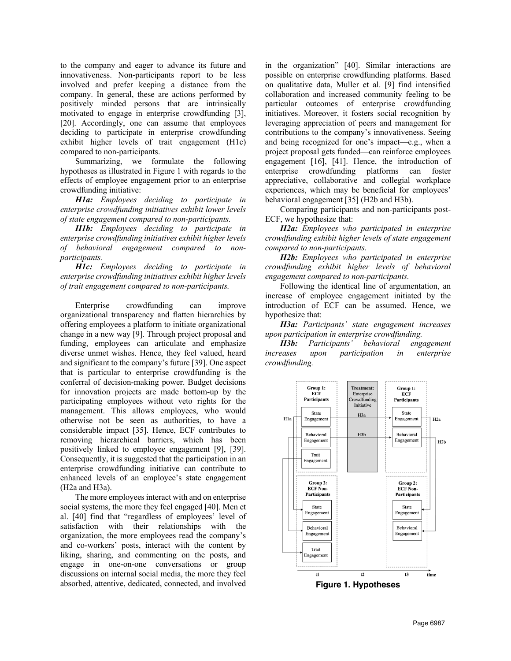to the company and eager to advance its future and innovativeness. Non-participants report to be less involved and prefer keeping a distance from the company. In general, these are actions performed by positively minded persons that are intrinsically motivated to engage in enterprise crowdfunding [3], [20]. Accordingly, one can assume that employees deciding to participate in enterprise crowdfunding exhibit higher levels of trait engagement (H1c) compared to non-participants.

Summarizing, we formulate the following hypotheses as illustrated in Figure 1 with regards to the effects of employee engagement prior to an enterprise crowdfunding initiative:

*H1a: Employees deciding to participate in enterprise crowdfunding initiatives exhibit lower levels of state engagement compared to non-participants.*

*H1b: Employees deciding to participate in enterprise crowdfunding initiatives exhibit higher levels of behavioral engagement compared to nonparticipants.*

*H1c: Employees deciding to participate in enterprise crowdfunding initiatives exhibit higher levels of trait engagement compared to non-participants.*

Enterprise crowdfunding can improve organizational transparency and flatten hierarchies by offering employees a platform to initiate organizational change in a new way [9]. Through project proposal and funding, employees can articulate and emphasize diverse unmet wishes. Hence, they feel valued, heard and significant to the company's future [39]. One aspect that is particular to enterprise crowdfunding is the conferral of decision-making power. Budget decisions for innovation projects are made bottom-up by the participating employees without veto rights for the management. This allows employees, who would otherwise not be seen as authorities, to have a considerable impact [35]. Hence, ECF contributes to removing hierarchical barriers, which has been positively linked to employee engagement [9], [39]. Consequently, it is suggested that the participation in an enterprise crowdfunding initiative can contribute to enhanced levels of an employee's state engagement (H2a and H3a).

The more employees interact with and on enterprise social systems, the more they feel engaged [40]. Men et al. [40] find that "regardless of employees' level of satisfaction with their relationships with the organization, the more employees read the company's and co-workers' posts, interact with the content by liking, sharing, and commenting on the posts, and engage in one-on-one conversations or group discussions on internal social media, the more they feel absorbed, attentive, dedicated, connected, and involved

in the organization" [40]. Similar interactions are possible on enterprise crowdfunding platforms. Based on qualitative data, Muller et al. [9] find intensified collaboration and increased community feeling to be particular outcomes of enterprise crowdfunding initiatives. Moreover, it fosters social recognition by leveraging appreciation of peers and management for contributions to the company's innovativeness. Seeing and being recognized for one's impact—e.g., when a project proposal gets funded—can reinforce employees engagement [16], [41]. Hence, the introduction of enterprise crowdfunding platforms can foster appreciative, collaborative and collegial workplace experiences, which may be beneficial for employees' behavioral engagement [35] (H2b and H3b).

Comparing participants and non-participants post-ECF, we hypothesize that:

*H2a: Employees who participated in enterprise crowdfunding exhibit higher levels of state engagement compared to non-participants.*

*H2b: Employees who participated in enterprise crowdfunding exhibit higher levels of behavioral engagement compared to non-participants.*

Following the identical line of argumentation, an increase of employee engagement initiated by the introduction of ECF can be assumed. Hence, we hypothesize that:

*H3a: Participants' state engagement increases upon participation in enterprise crowdfunding.*

*H3b: Participants' behavioral engagement increases upon participation in enterprise crowdfunding.*



**Figure 1. Hypotheses**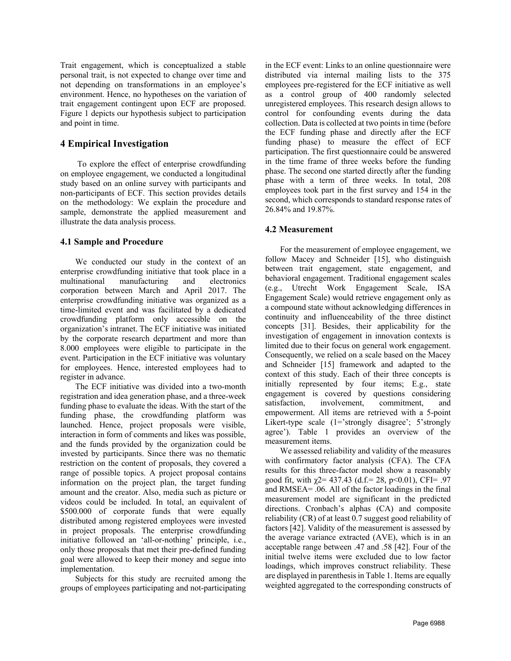Trait engagement, which is conceptualized a stable personal trait, is not expected to change over time and not depending on transformations in an employee's environment. Hence, no hypotheses on the variation of trait engagement contingent upon ECF are proposed. Figure 1 depicts our hypothesis subject to participation and point in time.

## **4 Empirical Investigation**

To explore the effect of enterprise crowdfunding on employee engagement, we conducted a longitudinal study based on an online survey with participants and non-participants of ECF. This section provides details on the methodology: We explain the procedure and sample, demonstrate the applied measurement and illustrate the data analysis process.

## **4.1 Sample and Procedure**

We conducted our study in the context of an enterprise crowdfunding initiative that took place in a multinational manufacturing and electronics corporation between March and April 2017. The enterprise crowdfunding initiative was organized as a time-limited event and was facilitated by a dedicated crowdfunding platform only accessible on the organization's intranet. The ECF initiative was initiated by the corporate research department and more than 8.000 employees were eligible to participate in the event. Participation in the ECF initiative was voluntary for employees. Hence, interested employees had to register in advance.

The ECF initiative was divided into a two-month registration and idea generation phase, and a three-week funding phase to evaluate the ideas. With the start of the funding phase, the crowdfunding platform was launched. Hence, project proposals were visible, interaction in form of comments and likes was possible, and the funds provided by the organization could be invested by participants. Since there was no thematic restriction on the content of proposals, they covered a range of possible topics. A project proposal contains information on the project plan, the target funding amount and the creator. Also, media such as picture or videos could be included. In total, an equivalent of \$500.000 of corporate funds that were equally distributed among registered employees were invested in project proposals. The enterprise crowdfunding initiative followed an 'all-or-nothing' principle, i.e., only those proposals that met their pre-defined funding goal were allowed to keep their money and segue into implementation.

Subjects for this study are recruited among the groups of employees participating and not-participating

in the ECF event: Links to an online questionnaire were distributed via internal mailing lists to the 375 employees pre-registered for the ECF initiative as well as a control group of 400 randomly selected unregistered employees. This research design allows to control for confounding events during the data collection. Data is collected at two points in time (before the ECF funding phase and directly after the ECF funding phase) to measure the effect of ECF participation. The first questionnaire could be answered in the time frame of three weeks before the funding phase. The second one started directly after the funding phase with a term of three weeks. In total, 208 employees took part in the first survey and 154 in the second, which corresponds to standard response rates of 26.84% and 19.87%.

## **4.2 Measurement**

For the measurement of employee engagement, we follow Macey and Schneider [15], who distinguish between trait engagement, state engagement, and behavioral engagement. Traditional engagement scales (e.g., Utrecht Work Engagement Scale, ISA Engagement Scale) would retrieve engagement only as a compound state without acknowledging differences in continuity and influenceability of the three distinct concepts [31]. Besides, their applicability for the investigation of engagement in innovation contexts is limited due to their focus on general work engagement. Consequently, we relied on a scale based on the Macey and Schneider [15] framework and adapted to the context of this study. Each of their three concepts is initially represented by four items; E.g., state engagement is covered by questions considering satisfaction, involvement, commitment, and empowerment. All items are retrieved with a 5-point Likert-type scale (1='strongly disagree'; 5'strongly agree'). Table 1 provides an overview of the measurement items.

We assessed reliability and validity of the measures with confirmatory factor analysis (CFA). The CFA results for this three-factor model show a reasonably good fit, with  $\gamma$ 2= 437.43 (d.f.= 28, p<0.01), CFI= .97 and RMSEA= .06. All of the factor loadings in the final measurement model are significant in the predicted directions. Cronbach's alphas (CA) and composite reliability (CR) of at least 0.7 suggest good reliability of factors [42]. Validity of the measurement is assessed by the average variance extracted (AVE), which is in an acceptable range between .47 and .58 [42]. Four of the initial twelve items were excluded due to low factor loadings, which improves construct reliability. These are displayed in parenthesis in Table 1. Items are equally weighted aggregated to the corresponding constructs of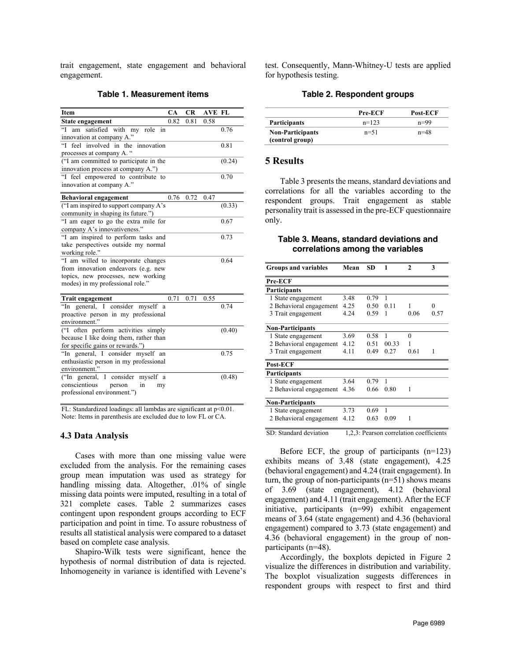trait engagement, state engagement and behavioral engagement.

### **Table 1. Measurement items**

| Item                                                             | CA   | <b>CR</b> | <b>AVE FL</b> |        |
|------------------------------------------------------------------|------|-----------|---------------|--------|
| State engagement                                                 | 0.82 | 0.81      | 0.58          |        |
| $\epsilon$ <sup>c</sup><br>am satisfied with<br>my<br>role<br>in |      |           |               | 0.76   |
| innovation at company A."                                        |      |           |               |        |
| feel involved in the<br>°°T<br>innovation                        |      |           |               | 0.81   |
| processes at company A. "                                        |      |           |               |        |
| ("I am committed to participate in the                           |      |           |               | (0.24) |
| innovation process at company A.")                               |      |           |               |        |
| "I feel empowered to contribute to                               |      |           |               | 0.70   |
| innovation at company A."                                        |      |           |               |        |
| <b>Behavioral engagement</b>                                     | 0.76 | 0.72      | 0.47          |        |
| ("I am inspired to support company A's                           |      |           |               | (0.33) |
| community in shaping its future.")                               |      |           |               |        |
| "I am eager to go the extra mile for                             |      |           |               | 0.67   |
| company A's innovativeness."                                     |      |           |               |        |
| "I am inspired to perform tasks and                              |      |           |               | 0.73   |
| take perspectives outside my normal                              |      |           |               |        |
| working role."                                                   |      |           |               |        |
| "I am willed to incorporate changes                              |      |           |               | 0.64   |
| from innovation endeavors (e.g. new                              |      |           |               |        |
| topics, new processes, new working                               |      |           |               |        |
| modes) in my professional role."                                 |      |           |               |        |
| <b>Trait engagement</b>                                          | 0.71 | 0.71      | 0.55          |        |
| "In<br>general, I consider myself a                              |      |           |               | 0.74   |
| proactive person in my professional                              |      |           |               |        |
| environment."                                                    |      |           |               |        |
| ("I often perform activities simply                              |      |           |               | (0.40) |
| because I like doing them, rather than                           |      |           |               |        |
| for specific gains or rewards.")                                 |      |           |               |        |
| "In general, I consider myself an                                |      |           |               | 0.75   |
| enthusiastic person in my professional                           |      |           |               |        |
| environment."                                                    |      |           |               |        |
| ("In general, I consider<br>myself a                             |      |           |               | (0.48) |
| conscientious<br>in<br>person<br>my                              |      |           |               |        |
| professional environment.")                                      |      |           |               |        |

FL: Standardized loadings: all lambdas are significant at p<0.01. Note: Items in parenthesis are excluded due to low FL or CA.

#### **4.3 Data Analysis**

Cases with more than one missing value were excluded from the analysis. For the remaining cases group mean imputation was used as strategy for handling missing data. Altogether, .01% of single missing data points were imputed, resulting in a total of 321 complete cases. Table 2 summarizes cases contingent upon respondent groups according to ECF participation and point in time. To assure robustness of results all statistical analysis were compared to a dataset based on complete case analysis.

Shapiro-Wilk tests were significant, hence the hypothesis of normal distribution of data is rejected. Inhomogeneity in variance is identified with Levene's test. Consequently, Mann-Whitney-U tests are applied for hypothesis testing.

#### **Table 2. Respondent groups**

|                                            | Pre-ECF  | Post-ECF |
|--------------------------------------------|----------|----------|
| <b>Participants</b>                        | $n=123$  | $n=99$   |
| <b>Non-Participants</b><br>(control group) | $n = 51$ | $n = 48$ |

### **5 Results**

Table 3 presents the means, standard deviations and correlations for all the variables according to the respondent groups. Trait engagement as stable personality trait is assessed in the pre-ECF questionnaire only.

### **Table 3. Means, standard deviations and correlations among the variables**

| <b>Groups and variables</b> | Mean | <b>SD</b> | 1                                       | $\mathbf{2}$ | 3    |
|-----------------------------|------|-----------|-----------------------------------------|--------------|------|
| Pre-ECF                     |      |           |                                         |              |      |
| Participants                |      |           |                                         |              |      |
| 1 State engagement          | 3.48 | 0.79      | 1                                       |              |      |
| 2 Behavioral engagement     | 4.25 | 0.50      | 0.11                                    | 1            | 0    |
| 3 Trait engagement          | 4.24 | 0.59      | 1                                       | 0.06         | 0.57 |
| <b>Non-Participants</b>     |      |           |                                         |              |      |
| 1 State engagement          | 3.69 | 0.58      | 1                                       | $\theta$     |      |
| 2 Behavioral engagement     | 4.12 | 0.51      | 00.33                                   |              |      |
| 3 Trait engagement          | 4.11 | 0.49      | 0.27                                    | 0.61         | 1    |
| <b>Post-ECF</b>             |      |           |                                         |              |      |
| Participants                |      |           |                                         |              |      |
| 1 State engagement          | 3.64 | 0.79      | 1                                       |              |      |
| 2 Behavioral engagement     | 4.36 | 0.66      | 0.80                                    | 1            |      |
| <b>Non-Participants</b>     |      |           |                                         |              |      |
| 1 State engagement          | 3.73 | 0.69      | 1                                       |              |      |
| 2 Behavioral engagement     | 4.12 | 0.63      | 0.09                                    | 1            |      |
| SD: Standard deviation      |      |           | 1,2,3: Pearson correlation coefficients |              |      |

Before ECF, the group of participants  $(n=123)$ exhibits means of 3.48 (state engagement), 4.25 (behavioral engagement) and 4.24 (trait engagement). In turn, the group of non-participants  $(n=51)$  shows means of 3.69 (state engagement), 4.12 (behavioral engagement) and 4.11 (trait engagement). After the ECF initiative, participants (n=99) exhibit engagement means of 3.64 (state engagement) and 4.36 (behavioral engagement) compared to 3.73 (state engagement) and 4.36 (behavioral engagement) in the group of nonparticipants (n=48).

Accordingly, the boxplots depicted in Figure 2 visualize the differences in distribution and variability. The boxplot visualization suggests differences in respondent groups with respect to first and third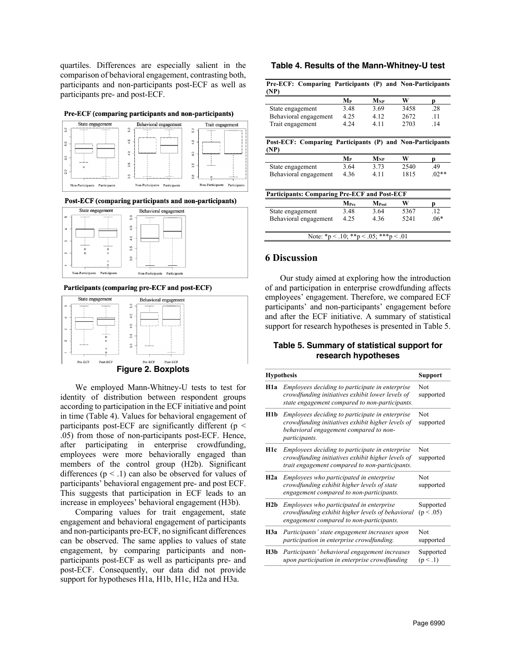quartiles. Differences are especially salient in the comparison of behavioral engagement, contrasting both, participants and non-participants post-ECF as well as participants pre- and post-ECF.

#### Pre-ECF (comparing participants and non-participants)



Post-ECF (comparing participants and non-participants)



#### Participants (comparing pre-ECF and post-ECF)



We employed Mann-Whitney-U tests to test for identity of distribution between respondent groups according to participation in the ECF initiative and point in time (Table 4). Values for behavioral engagement of participants post-ECF are significantly different ( $p <$ .05) from those of non-participants post-ECF. Hence, after participating in enterprise crowdfunding, employees were more behaviorally engaged than members of the control group (H2b). Significant differences ( $p < 0.1$ ) can also be observed for values of participants' behavioral engagement pre- and post ECF. This suggests that participation in ECF leads to an increase in employees' behavioral engagement (H3b).

Comparing values for trait engagement, state engagement and behavioral engagement of participants and non-participants pre-ECF, no significant differences can be observed. The same applies to values of state engagement, by comparing participants and nonparticipants post-ECF as well as participants pre- and post-ECF. Consequently, our data did not provide support for hypotheses H1a, H1b, H1c, H2a and H3a.

#### **Table 4. Results of the Mann-Whitney-U test**

| Pre-ECF: Comparing Participants (P) and Non-Participants          |                                       |                   |      |         |
|-------------------------------------------------------------------|---------------------------------------|-------------------|------|---------|
| (NP)                                                              |                                       |                   |      |         |
|                                                                   | Mр                                    | $M_{NP}$          | W    | р       |
| State engagement                                                  | 3.48                                  | 3.69              | 3458 | .28     |
| Behavioral engagement                                             | 4.25                                  | 4.12              | 2672 | .11     |
| Trait engagement                                                  | 4.24                                  | 4.11              | 2703 | .14     |
| Post-ECF: Comparing Participants (P) and Non-Participants<br>(NP) |                                       |                   |      |         |
|                                                                   | $\mathbf{M}_{\mathbf{P}}$             | $M_{NP}$          | W    | p       |
| State engagement                                                  | 3.64                                  | 3.73              | 2540 | .49     |
| Behavioral engagement                                             | 4.36                                  | 4.11              | 1815 | $.02**$ |
| <b>Participants: Comparing Pre-ECF and Post-ECF</b>               |                                       |                   |      |         |
|                                                                   | M <sub>Pre</sub>                      | M <sub>Post</sub> | W    | p       |
| State engagement                                                  | 3.48                                  | 3.64              | 5367 | .12     |
| Behavioral engagement                                             | 4.25                                  | 4.36              | 5241 | $.06*$  |
|                                                                   | Note: *p < .10; **p < .05; ***p < .01 |                   |      |         |

### **6 Discussion**

Our study aimed at exploring how the introduction of and participation in enterprise crowdfunding affects employees' engagement. Therefore, we compared ECF participants' and non-participants' engagement before and after the ECF initiative. A summary of statistical support for research hypotheses is presented in Table 5.

### **Table 5. Summary of statistical support for research hypotheses**

|      | <b>Hypothesis</b>                                                                                                                                               | <b>Support</b>         |
|------|-----------------------------------------------------------------------------------------------------------------------------------------------------------------|------------------------|
| H1a  | Employees deciding to participate in enterprise<br>crowdfunding initiatives exhibit lower levels of<br>state engagement compared to non-participants.           | Not<br>supported       |
| H1b. | Employees deciding to participate in enterprise<br>crowdfunding initiatives exhibit higher levels of<br>behavioral engagement compared to non-<br>participants. | Not<br>supported       |
| H1c  | Employees deciding to participate in enterprise<br>crowdfunding initiatives exhibit higher levels of<br>trait engagement compared to non-participants.          | Not<br>supported       |
| H2a  | Employees who participated in enterprise<br>crowdfunding exhibit higher levels of state<br>engagement compared to non-participants.                             | Not<br>supported       |
| H2b  | Employees who participated in enterprise<br>crowdfunding exhibit higher levels of behavioral<br>engagement compared to non-participants.                        | Supported<br>(p < .05) |
| Н3а  | Participants' state engagement increases upon<br>participation in enterprise crowdfunding.                                                                      | Not<br>supported       |
| H3b  | Participants' behavioral engagement increases<br>upon participation in enterprise crowdfunding                                                                  | Supported<br>(p < .1)  |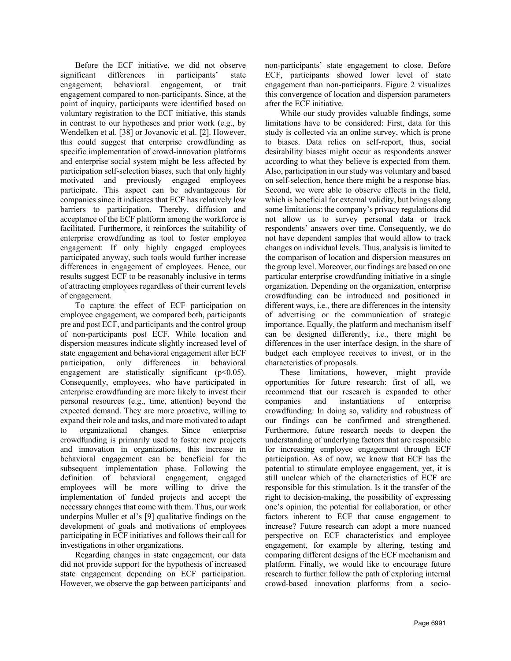Before the ECF initiative, we did not observe significant differences in participants' state engagement, behavioral engagement, or trait engagement compared to non-participants. Since, at the point of inquiry, participants were identified based on voluntary registration to the ECF initiative, this stands in contrast to our hypotheses and prior work (e.g., by Wendelken et al. [38] or Jovanovic et al. [2]. However, this could suggest that enterprise crowdfunding as specific implementation of crowd-innovation platforms and enterprise social system might be less affected by participation self-selection biases, such that only highly motivated and previously engaged employees participate. This aspect can be advantageous for companies since it indicates that ECF has relatively low barriers to participation. Thereby, diffusion and acceptance of the ECF platform among the workforce is facilitated. Furthermore, it reinforces the suitability of enterprise crowdfunding as tool to foster employee engagement: If only highly engaged employees participated anyway, such tools would further increase differences in engagement of employees. Hence, our results suggest ECF to be reasonably inclusive in terms of attracting employees regardless of their current levels of engagement.

To capture the effect of ECF participation on employee engagement, we compared both, participants pre and post ECF, and participants and the control group of non-participants post ECF. While location and dispersion measures indicate slightly increased level of state engagement and behavioral engagement after ECF participation, only differences in behavioral engagement are statistically significant  $(p<0.05)$ . Consequently, employees, who have participated in enterprise crowdfunding are more likely to invest their personal resources (e.g., time, attention) beyond the expected demand. They are more proactive, willing to expand their role and tasks, and more motivated to adapt to organizational changes. Since enterprise crowdfunding is primarily used to foster new projects and innovation in organizations, this increase in behavioral engagement can be beneficial for the subsequent implementation phase. Following the definition of behavioral engagement, engaged employees will be more willing to drive the implementation of funded projects and accept the necessary changes that come with them. Thus, our work underpins Muller et al's [9] qualitative findings on the development of goals and motivations of employees participating in ECF initiatives and follows their call for investigations in other organizations.

Regarding changes in state engagement, our data did not provide support for the hypothesis of increased state engagement depending on ECF participation. However, we observe the gap between participants' and non-participants' state engagement to close. Before ECF, participants showed lower level of state engagement than non-participants. Figure 2 visualizes this convergence of location and dispersion parameters after the ECF initiative.

While our study provides valuable findings, some limitations have to be considered: First, data for this study is collected via an online survey, which is prone to biases. Data relies on self-report, thus, social desirability biases might occur as respondents answer according to what they believe is expected from them. Also, participation in our study was voluntary and based on self-selection, hence there might be a response bias. Second, we were able to observe effects in the field, which is beneficial for external validity, but brings along some limitations: the company's privacy regulations did not allow us to survey personal data or track respondents' answers over time. Consequently, we do not have dependent samples that would allow to track changes on individual levels. Thus, analysis is limited to the comparison of location and dispersion measures on the group level. Moreover, our findings are based on one particular enterprise crowdfunding initiative in a single organization. Depending on the organization, enterprise crowdfunding can be introduced and positioned in different ways, i.e., there are differences in the intensity of advertising or the communication of strategic importance. Equally, the platform and mechanism itself can be designed differently, i.e., there might be differences in the user interface design, in the share of budget each employee receives to invest, or in the characteristics of proposals.

These limitations, however, might provide opportunities for future research: first of all, we recommend that our research is expanded to other companies and instantiations of enterprise crowdfunding. In doing so, validity and robustness of our findings can be confirmed and strengthened. Furthermore, future research needs to deepen the understanding of underlying factors that are responsible for increasing employee engagement through ECF participation. As of now, we know that ECF has the potential to stimulate employee engagement, yet, it is still unclear which of the characteristics of ECF are responsible for this stimulation. Is it the transfer of the right to decision-making, the possibility of expressing one's opinion, the potential for collaboration, or other factors inherent to ECF that cause engagement to increase? Future research can adopt a more nuanced perspective on ECF characteristics and employee engagement, for example by altering, testing and comparing different designs of the ECF mechanism and platform. Finally, we would like to encourage future research to further follow the path of exploring internal crowd-based innovation platforms from a socio-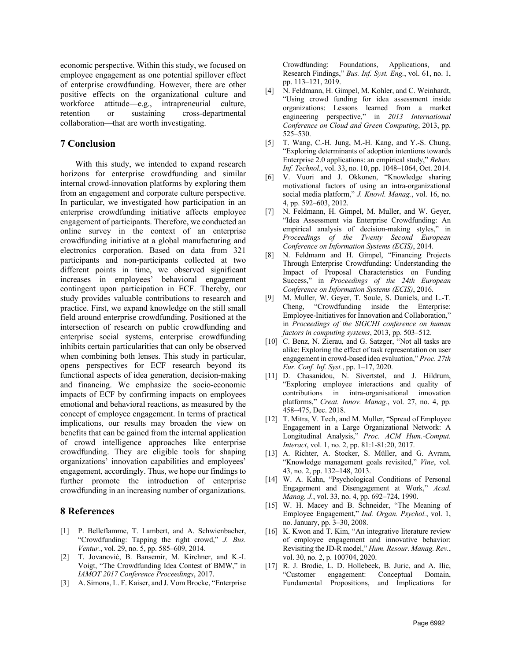economic perspective. Within this study, we focused on employee engagement as one potential spillover effect of enterprise crowdfunding. However, there are other positive effects on the organizational culture and workforce attitude—e.g., intrapreneurial culture, retention or sustaining cross-departmental collaboration—that are worth investigating.

### **7 Conclusion**

With this study, we intended to expand research horizons for enterprise crowdfunding and similar internal crowd-innovation platforms by exploring them from an engagement and corporate culture perspective. In particular, we investigated how participation in an enterprise crowdfunding initiative affects employee engagement of participants. Therefore, we conducted an online survey in the context of an enterprise crowdfunding initiative at a global manufacturing and electronics corporation. Based on data from 321 participants and non-participants collected at two different points in time, we observed significant increases in employees' behavioral engagement contingent upon participation in ECF. Thereby, our study provides valuable contributions to research and practice. First, we expand knowledge on the still small field around enterprise crowdfunding. Positioned at the intersection of research on public crowdfunding and enterprise social systems, enterprise crowdfunding inhibits certain particularities that can only be observed when combining both lenses. This study in particular, opens perspectives for ECF research beyond its functional aspects of idea generation, decision-making and financing. We emphasize the socio-economic impacts of ECF by confirming impacts on employees emotional and behavioral reactions, as measured by the concept of employee engagement. In terms of practical implications, our results may broaden the view on benefits that can be gained from the internal application of crowd intelligence approaches like enterprise crowdfunding. They are eligible tools for shaping organizations' innovation capabilities and employees' engagement, accordingly. Thus, we hope our findings to further promote the introduction of enterprise crowdfunding in an increasing number of organizations.

### **8 References**

- [1] P. Belleflamme, T. Lambert, and A. Schwienbacher, "Crowdfunding: Tapping the right crowd," *J. Bus. Ventur.*, vol. 29, no. 5, pp. 585–609, 2014.
- [2] T. Jovanović, B. Bansemir, M. Kirchner, and K.-I. Voigt, "The Crowdfunding Idea Contest of BMW," in *IAMOT 2017 Conference Proceedings*, 2017.
- [3] A. Simons, L. F. Kaiser, and J. Vom Brocke, "Enterprise

Crowdfunding: Foundations, Applications, and Research Findings," *Bus. Inf. Syst. Eng.*, vol. 61, no. 1, pp. 113–121, 2019.

- [4] N. Feldmann, H. Gimpel, M. Kohler, and C. Weinhardt, "Using crowd funding for idea assessment inside organizations: Lessons learned from a market engineering perspective," in *2013 International Conference on Cloud and Green Computing*, 2013, pp. 525–530.
- [5] T. Wang, C.-H. Jung, M.-H. Kang, and Y.-S. Chung, "Exploring determinants of adoption intentions towards Enterprise 2.0 applications: an empirical study," *Behav. Inf. Technol.*, vol. 33, no. 10, pp. 1048–1064, Oct. 2014.
- [6] V. Vuori and J. Okkonen, "Knowledge sharing motivational factors of using an intra-organizational social media platform," *J. Knowl. Manag.*, vol. 16, no. 4, pp. 592–603, 2012.
- [7] N. Feldmann, H. Gimpel, M. Muller, and W. Geyer, "Idea Assessment via Enterprise Crowdfunding: An empirical analysis of decision-making styles," *Proceedings of the Twenty Second European Conference on Information Systems (ECIS)*, 2014.
- [8] N. Feldmann and H. Gimpel, "Financing Projects Through Enterprise Crowdfunding: Understanding the Impact of Proposal Characteristics on Funding Success," in *Proceedings of the 24th European Conference on Information Systems (ECIS)*, 2016.
- [9] M. Muller, W. Geyer, T. Soule, S. Daniels, and L.-T. Cheng, "Crowdfunding inside the Enterprise: Employee-Initiatives for Innovation and Collaboration," in *Proceedings of the SIGCHI conference on human factors in computing systems*, 2013, pp. 503–512.
- [10] C. Benz, N. Zierau, and G. Satzger, "Not all tasks are alike: Exploring the effect of task representation on user engagement in crowd-based idea evaluation," *Proc. 27th Eur. Conf. Inf. Syst.*, pp. 1–17, 2020.
- [11] D. Chasanidou, N. Sivertstøl, and J. Hildrum, "Exploring employee interactions and quality of contributions in intra-organisational innovation platforms," *Creat. Innov. Manag.*, vol. 27, no. 4, pp. 458–475, Dec. 2018.
- [12] T. Mitra, V. Tech, and M. Muller, "Spread of Employee Engagement in a Large Organizational Network: A Longitudinal Analysis," *Proc. ACM Hum.-Comput. Interact*, vol. 1, no. 2, pp. 81:1-81:20, 2017.
- [13] A. Richter, A. Stocker, S. Müller, and G. Avram, "Knowledge management goals revisited," *Vine*, vol. 43, no. 2, pp. 132–148, 2013.
- [14] W. A. Kahn, "Psychological Conditions of Personal Engagement and Disengagement at Work," *Acad. Manag. J.*, vol. 33, no. 4, pp. 692–724, 1990.
- [15] W. H. Macey and B. Schneider, "The Meaning of Employee Engagement," *Ind. Organ. Psychol.*, vol. 1, no. January, pp. 3–30, 2008.
- [16] K. Kwon and T. Kim, "An integrative literature review of employee engagement and innovative behavior: Revisiting the JD-R model," *Hum. Resour. Manag. Rev.*, vol. 30, no. 2, p. 100704, 2020.
- [17] R. J. Brodie, L. D. Hollebeek, B. Juric, and A. Ilic, "Customer engagement: Conceptual Domain, Fundamental Propositions, and Implications for